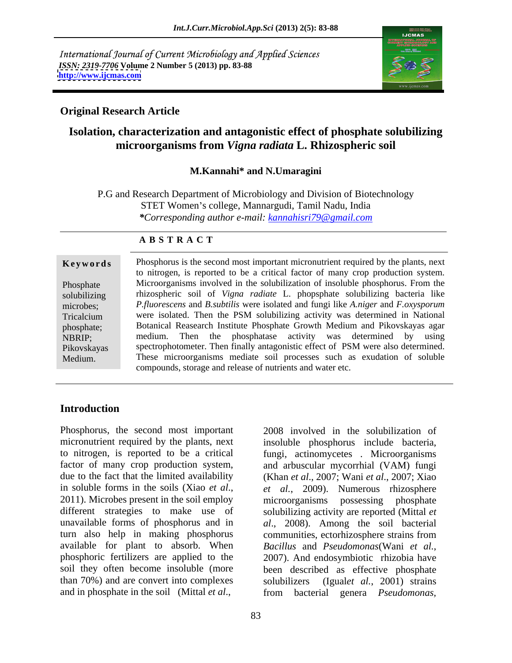International Journal of Current Microbiology and Applied Sciences *ISSN: 2319-7706* **Volume 2 Number 5 (2013) pp. 83-88 <http://www.ijcmas.com>**



## **Original Research Article**

# **Isolation, characterization and antagonistic effect of phosphate solubilizing microorganisms from** *Vigna radiata* **L. Rhizospheric soil**

### **M.Kannahi\* and N.Umaragini**

P.G and Research Department of Microbiology and Division of Biotechnology STET Women's college, Mannargudi, Tamil Nadu, India *\*Corresponding author e-mail: kannahisri79@gmail.com*

### **A B S T R A C T**

**Keywords** Phosphorus is the second most important micronutrient required by the plants, next Phosphate Microorganisms involved in the solubilization of insoluble phosphorus. From the solubilizing rhizospheric soil of *Vigna radiate* L. phopsphate solubilizing bacteria like microbes; *P.fluorescens* and *B.subtilis* were isolated and fungi like *A.niger* and *F.oxysporum* Tricalcium were isolated. Then the PSM solubilizing activity was determined in National phosphate; Botanical Reasearch Institute Phosphate Growth Medium and Pikovskayas agar NBRIP; medium. Then the phosphatase activity was determined by using Pikovskayas spectrophotometer. Then finally antagonistic effect of PSM were also determined. **Example 19 Second Standary Constrained Standary Constrained Standard Chemission** Phosphate<br>
Microorganisms involved in the solubilization of insoluble phosphorus. From the<br>
solubilizing thizospheric soil of *Vigna radiate* to nitrogen, is reported to be a critical factor of many crop production system. These microorganisms mediate soil processes such as exudation of soluble compounds, storage and release of nutrients and water etc.

## **Introduction**

Phosphorus, the second most important 2008 involved in the solubilization of micronutrient required by the plants, next insoluble phosphorus include bacteria, to nitrogen, is reported to be a critical fungi, actinomycetes . Microorganisms factor of many crop production system, and arbuscular mycorrhial (VAM) fungi due to the fact that the limited availability (Khan *et al*., 2007; Wani *et al*., 2007; Xiao in soluble forms in the soils (Xiao *et al.*, *et al.*, 2009). Numerous rhizosphere 2011). Microbes present in the soil employ microorganisms possessing phosphate different strategies to make use of solubilizing activity are reported (Mittal *et*  unavailable forms of phosphorus and in *al*., 2008). Among the soil bacterial turn also help in making phosphorus communities, ectorhizosphere strains from available for plant to absorb. When Bacillus and Pseudomonas(Wani et al., phosphoric fertilizers are applied to the 2007). And endosymbiotic rhizobia have soil they often become insoluble (more been described as effective phosphate than 70%) and are convert into complexes Phosphorus, the second most important 2008 involved in the solubilization of<br>micronutrient required by the plants, next insoluble phosphorus include bacteria,<br>to nitrogen, is reported to be a critical fungi, actionomycete

*et al.*, 2009). Numerous rhizosphere microorganisms possessing phosphate communities, ectorhizosphere strains from *Bacillus* and *Pseudomonas*(Wani *et al.*, 2007). And endosymbiotic rhizobia have (Igual*et al.*, 2001) strains from bacterial genera *Pseudomonas,*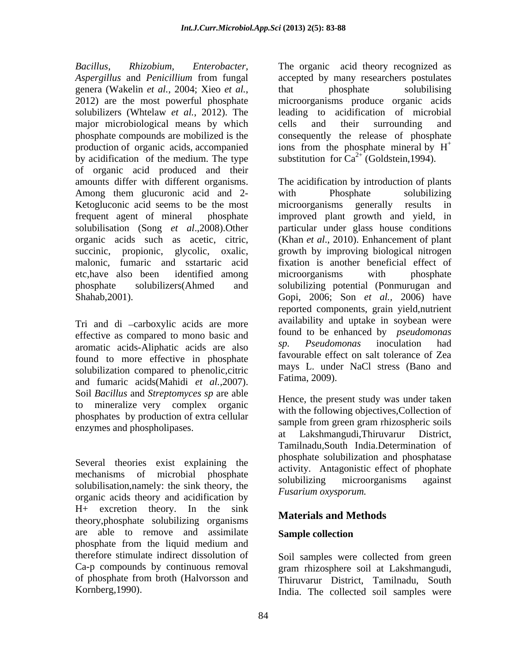*Bacillus, Rhizobium, Enterobacter,* The organic acid theory recognized as *Aspergillus* and *Penicillium* from fungal accepted by many researchers postulates genera (Wakelin *et al.*, 2004; Xieo *et al.*, that phosphate solubilising produce organic acids the most powerful phosphate microorganisms produce organic acids solubilizers (Whtelaw *et al.*, 2012). The leading to acidification of microbial major microbiological means by which cells and their surrounding and phosphate compounds are mobilized is the consequently the release of phosphate production of organic acids, accompanied production of organic acids, accompanied ions from the phosphate mineral by  $H^+$ <br>by acidification of the medium. The type substitution for  $Ca^{2+}$  (Goldstein, 1994). of organic acid produced and their Among them glucuronic acid and 2- with Phosphate solubilizing Ketogluconic acid seems to be the most microorganisms generally results in solubilisation (Song *et al*.,2008).Other

Tri and di -carboxylic acids are more effective as compared to mono basic and<br>example as a set of the state and the space of the set of the set of the set of the set of the set of the set of the set of the set of the set of the set of the set of the set of the aromatic acids-Aliphatic acids are also found to more effective in phosphate solubilization compared to phenolic,citric and fumaric acids(Mahidi *et al.,*2007). Soil *Bacillus* and *Streptomyces sp* are able to mineralize very complex organic phosphates by production of extra cellular

Several theories exist explaining the solubilisation,namely: the sink theory, the solubilizing microorganisms against organic acids theory and acidification by H+ excretion theory. In the sink theory,phosphate solubilizing organisms are able to remove and assimilate phosphate from the liquid medium and therefore stimulate indirect dissolution of Soil samples were collected from green Ca-p compounds by continuous removal gram rhizosphere soil at Lakshmangudi, of phosphate from broth (Halvorsson and Thiruvarur District, Tamilnadu, South

that phosphate solubilising microorganisms produce organic acids cells and their surrounding and ions from the phosphate mineral by H

amounts differ with different organisms. The acidification by introduction of plants frequent agent of mineral phosphate improved plant growth and yield, in organic acids such as acetic, citric, (Khan *et al*., 2010). Enhancement of plant succinic, propionic, glycolic, oxalic, growth by improving biological nitrogen malonic, fumaric and sstartaric acid fixation is another beneficial effect of etc,have also been identified among phosphate solubilizers(Ahmed and solubilizing potential (Ponmurugan and Shahab,2001). Gopi, 2006; Son *et al.,* 2006) have with Phosphate solubilizing microorganisms generally results in particular under glass house conditions microorganisms with phosphate reported components, grain yield,nutrient availability and uptake in soybean were found to be enhanced by *pseudomonas sp. Pseudomonas* inoculation had favourable effect on salt tolerance of Zea mays L. under NaCl stress (Bano and Fatima, 2009).

enzymes and phospholipases.<br>at Lakshmangudi.Thiruvarur District. mechanisms of microbial phosphate activity. Antagonistic criter of propriate Hence, the present study was under taken with the following objectives,Collection of sample from green gram rhizospheric soils Lakshmangudi,Thiruvarur Tamilnadu,South India.Determination of phosphate solubilization and phosphatase activity. Antagonistic effect of phophate solubilizing microorganisms against *Fusarium oxysporum.*

# **Materials and Methods**

# **Sample collection**

Kornberg,1990). India. The collected soil samples were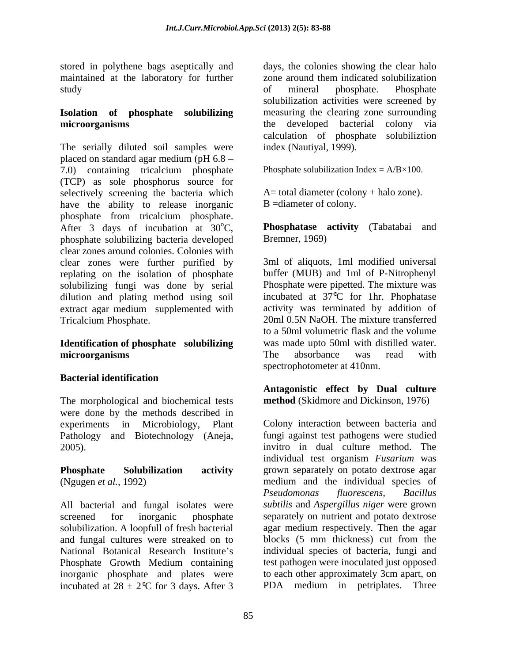stored in polythene bags aseptically and maintained at the laboratory for further zone around them indicated solubilization

# **microorganisms** the developed bacterial colony via

The serially diluted soil samples were placed on standard agar medium (pH 6.8 7.0) containing tricalcium phosphate (TCP) as sole phosphorus source for selectively screening the bacteria which have the ability to release inorganic phosphate from tricalcium phosphate. After 3 days of incubation at  $30^{\circ}$ C, phosphate solubilizing bacteria developed clear zones around colonies. Colonies with clear zones were further purified by replating on the isolation of phosphate solubilizing fungi was done by serial dilution and plating method using soil extract agar medium supplemented with activity was terminated by addition of<br>Tricalcium Phosphate 20ml 0.5N NaOH. The mixture transferred

# **microorganisms** The absorbance was read with

# **Bacterial identification**

The morphological and biochemical tests were done by the methods described in Pathology and Biotechnology (Aneja,

All bacterial and fungal isolates were *subtilis* and *Aspergillus niger* were grown screened for inorganic phosphate separately on nutrient and potato dextrose solubilization. A loopfull of fresh bacterial and fungal cultures were streaked on to blocks (5 mm thickness) cut from the National Botanical Research Institute's individual species of bacteria, fungi and Phosphate Growth Medium containing test pathogen were inoculated just opposed inorganic phosphate and plates were incubated at  $28 \pm 2$ <sup>e</sup>C for 3 days. After 3

study by the study of mineral phosphate. Phosphate **Isolation of phosphate solubilizing** measuring the clearing zone surrounding days, the colonies showing the clear halo zone around them indicated solubilization of mineral phosphate. Phosphate solubilization activities were screened by the developed bacterial colony via calculation of phosphate solubiliztion index (Nautiyal, 1999).

Phosphate solubilization Index =  $A/B \times 100$ .

 $A=$  total diameter (colony + halo zone). B =diameter of colony.

oC, **Phosphatase activity** (Tabatabai and Bremner, 1969)

Tricalcium Phosphate.<br> **Identification of phosphate solubilizing identification of phosphate solubilizing v** was made upto 50ml with distilled water. 3ml of aliquots, 1ml modified universal buffer (MUB) and 1ml of P-Nitrophenyl Phosphate were pipetted. The mixture was incubated at 37 C for 1hr. Phophatase activity was terminated by addition of 20ml 0.5N NaOH. The mixture transferred to a 50ml volumetric flask and the volume was made upto 50ml with distilled water. The absorbance was read with spectrophotometer at 410nm.

> **Antagonistic effect by Dual culture method** (Skidmore and Dickinson, 1976)

experiments in Microbiology, Plant Colony interaction between bacteria and 2005). invitro in dual culture method. The **Phosphate Solubilization activity** grown separately on potato dextrose agar (Ngugen *et al.,* 1992) medium and the individual species of fungi against test pathogens were studied individual test organism *Fusarium* was *Pseudomonas fluorescens, Bacillus* agar medium respectively. Then the agar blocks (5 mm thickness) cut from the test pathogen were inoculated just opposed to each other approximately 3cm apart, on PDA medium in petriplates. Three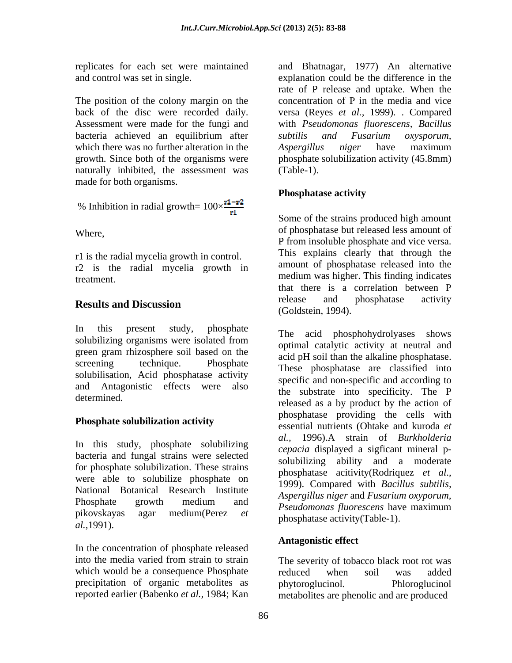The position of the colony margin on the which there was no further alteration in the Aspergillus niger have maximum growth. Since both of the organisms were naturally inhibited, the assessment was (Table-1). made for both organisms.

% Inhibition in radial growth = 
$$
100 \times \frac{r1 - r2}{r1}
$$

r1 is the radial mycelia growth in control. r2 is the radial mycelia growth in

In this present study, phosphate The said phosphobydrolyneses shows green gram rhizosphere soil based on the solubilisation, Acid phosphatase activity and Antagonistic effects were also

## **Phosphate solubilization activity**

In this study, phosphate solubilizing bacteria and fungal strains were selected for phosphate solubilization. These strains  $\frac{\text{SOLUTION} \times \text{Solution}}{\text{phosphatase}}$  activity (Rodriquez *et al.*, were able to solubilize phosphate on the phosphates activity (Nounquez et al., National Botanical Research Institute *al.,*1991).

In the concentration of phosphate released into the media varied from strain to strain The severity of tobacco black root rot was which would be a consequence Phosphate reduced when soil was added precipitation of organic metabolites as bhytoroglucinol. Phloroglucinol

replicates for each set were maintained and Bhatnagar, 1977) An alternative and control was set in single. explanation could be the difference in the back of the disc were recorded daily. versa (Reyes *et al.,* 1999). . Compared Assessment were made for the fungi and with *Pseudomonas fluorescens, Bacillus* bacteria achieved an equilibrium after *subtilis and Fusarium oxysporum*, rate of P release and uptake. When the concentration of P in the media and vice *subtilis and Fusarium oxysporum, Aspergillus niger* have maximum phosphate solubilization activity (45.8mm) (Table-1).

## **Phosphatase activity**

Where, of phosphatase but released less amount of treatment. medium was higher. This finding indicates **Results and Discussion Results and Discussion Results and Discussion** Some of the strains produced high amount P from insoluble phosphate and vice versa. This explains clearly that through the amount of phosphatase released into the that there is a correlation between P release and phosphatase activity (Goldstein, 1994).

solubilizing organisms were isolated from the action of prospheriyal organisms were isolated from the set of prospherix at poursel and screening technique. Phosphate These phosphatase are classified into<br>calibritization Asid phosphatase activity. determined.<br>
released as a by product by the action of Phosphate growth medium and  $\frac{m_{\text{S}}}{m_{\text{S}}}\frac{m_{\text{S}}}{m_{\text{S}}}\frac{m_{\text{S}}}{m_{\text{S}}}\frac{m_{\text{S}}}{m_{\text{S}}}\frac{m_{\text{S}}}{m_{\text{S}}}\frac{m_{\text{S}}}{m_{\text{S}}}\frac{m_{\text{S}}}{m_{\text{S}}}\frac{m_{\text{S}}}{m_{\text{S}}}\frac{m_{\text{S}}}{m_{\text{S}}}\frac{m_{\text{S}}}{m_{\text{S}}}\frac{m_{\text{S}}}{m$ pikovskayas agar medium(Perez *et*  The acid phosphohydrolyases shows optimal catalytic activity at neutral and acid pH soil than the alkaline phosphatase. specific and non-specific and according to the substrate into specificity. The P phosphatase providing the cells with essential nutrients (Ohtake and kuroda *et al.,* 1996).A strain of *Burkholderia cepacia* displayed a sigficant mineral p solubilizing ability and a moderate phosphatase acitivity(Rodriquez *et al*., 1999). Compared with *Bacillus subtilis, Aspergillus niger* and *Fusarium oxyporum, Pseudomonas fluorescens* have maximum phosphatase activity(Table-1).

# **Antagonistic effect**

reported earlier (Babenko *et al.,* 1984; Kan metabolites are phenolic and are produced The severity of tobacco black root rot was reduced when soil was added phytoroglucinol.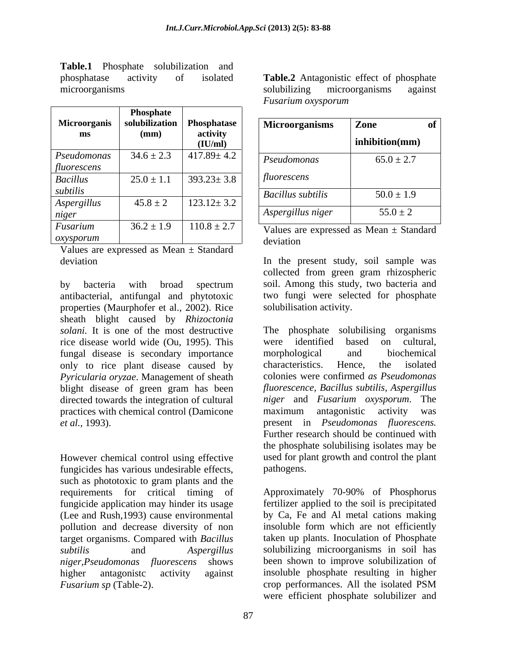**Table.1** Phosphate solubilization and

|                            |                              |                     | $\sim$ $\sim$            |                                             |
|----------------------------|------------------------------|---------------------|--------------------------|---------------------------------------------|
|                            | Phosphate                    |                     |                          |                                             |
| Microorganis               | solubilization   Phosphatase |                     | Microorganisms           | Zone<br>ot                                  |
| ms                         | (mm)                         | activity<br>(IU/ml) |                          | inhibition(mm)                              |
| Pseudomonas<br>fluorescens | $34.6 \pm 2.3$               | $17.89 \pm 4.2$     | Pseudomonas              | $65.0 \pm 2.7$                              |
| <b>Bacillus</b>            | $25.0 \pm 1.1$               | $393.23 \pm 3.8$    | fluorescens              |                                             |
| subtilis                   |                              |                     | <b>Bacillus subtilis</b> | $50.0 \pm 1.9$                              |
| Aspergillus<br>niger       | $45.8 \pm 2$                 | $123.12 \pm 3.2$    | Aspergillus niger        | $55.0 \pm 2$                                |
| Fusarium<br>oxysporum      | $36.2 \pm 1.9$               | $110.8 \pm 2.7$     | deviation                | Values are expressed as Mean $\pm$ Standard |

Values are expressed as Mean ± Standard

by bacteria with broad spectrum soil. Among this study, two bacteria and antibacterial, antifungal and phytotoxic properties (Maurphofer et al., 2002). Rice sheath blight caused by *Rhizoctonia* rice disease world wide (Ou, 1995). This fungal disease is secondary importance morphological and biochemical<br>only to rice plant disease caused by characteristics. Hence, the isolated only to rice plant disease caused by characteristics. Hence, the isolated *Pyricularia oryzae*. Management of sheath blight disease of green gram has been practices with chemical control (Damicone

However chemical control using effective fungicides has various undesirable effects, pathogens. such as phototoxic to gram plants and the fungicide application may hinder its usage pollution and decrease diversity of non target organisms.Compared with *Bacillus Fusarium sp* (Table-2). crop performances. All the isolated PSM

phosphatase activity of isolated **Table.2** Antagonistic effect of phosphate microorganisms and the solubilizing microorganisms against solubilizing microorganisms against *Fusarium oxysporum*

|                 | ———————————    |                     |                          |                |    |  |
|-----------------|----------------|---------------------|--------------------------|----------------|----|--|
| oorganis        | solubilization | Phosphatase         | <b>Microorganisms</b>    | Zone           | of |  |
| ms              | (mm)           | activity<br>(IU/ml) |                          | inhibition(mm) |    |  |
| omonas<br>scens | $34.6 \pm 2.3$ | $417.89 \pm 4.2$    | Pseudomonas              | $65.0 \pm 2.7$ |    |  |
|                 | $25.0 \pm 1.1$ | $393.23 \pm 3.8$    | fluorescens              |                |    |  |
|                 |                |                     | <b>Bacillus subtilis</b> | $50.0 \pm 1.9$ |    |  |
| gillus          | $45.8 \pm 2$   | $123.12 \pm 3.2$    |                          |                |    |  |
|                 |                |                     | Aspergillus niger        | $55.0 \pm 2$   |    |  |
|                 |                |                     |                          |                |    |  |

deviation and the contract of the contract of the contract of the contract of the contract of the contract of the contract of the contract of the contract of the contract of the contract of the contract of the contract of

deviation In the present study, soil sample was collected from green gram rhizospheric soil. Among this study, two bacteria and two fungi were selected for phosphate solubilisation activity.

*solani.* It is one of the most destructive The phosphate solubilising organisms directed towards the integration of cultural *niger* and *Fusarium oxysporum*. The *et al.,* 1993). present in *Pseudomonas fluorescens.* were identified based on cultural, morphological and biochemical characteristics. Hence, the isolated colonies were confirmed *as Pseudomonas fluorescence, Bacillus subtilis, Aspergillus* maximum antagonistic activity was Further research should be continued with the phosphate solubilising isolates may be used for plant growth and control the plant pathogens.

requirements for critical timing of Approximately 70-90% of Phosphorus (Lee and Rush,1993) cause environmental by Ca, Fe and Al metal cations making *subtilis* and *Aspergillus*  solubilizing microorganisms in soil has *niger,Pseudomonas fluorescens* shows been shown to improve solubilization of higher antagonistc activity against insoluble phosphate resulting in higher fertilizer applied to the soil is precipitated insoluble form which are not efficiently taken up plants. Inoculation of Phosphate crop performances. All the isolated PSM were efficient phosphate solubilizer and